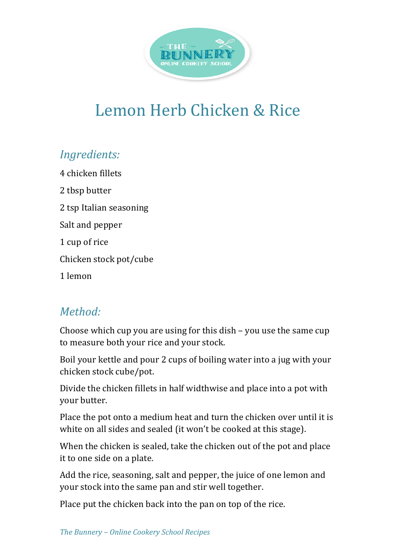

## Lemon Herb Chicken & Rice

## *Ingredients:*

4 chicken fillets 2 tbsp butter 2 tsp Italian seasoning Salt and pepper 1 cup of rice Chicken stock pot/cube 1 lemon

## *Method:*

Choose which cup you are using for this  $\text{dish}$  – you use the same cup to measure both your rice and your stock.

Boil your kettle and pour 2 cups of boiling water into a jug with your chicken stock cube/pot.

Divide the chicken fillets in half widthwise and place into a pot with your butter.

Place the pot onto a medium heat and turn the chicken over until it is white on all sides and sealed (it won't be cooked at this stage).

When the chicken is sealed, take the chicken out of the pot and place it to one side on a plate.

Add the rice, seasoning, salt and pepper, the juice of one lemon and your stock into the same pan and stir well together.

Place put the chicken back into the pan on top of the rice.